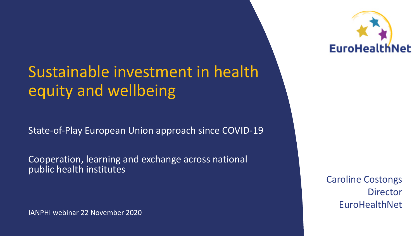# Sustainable investment in health equity and wellbeing

State-of-Play European Union approach since COVID-19

Cooperation, learning and exchange across national public health institutes

IANPHI webinar 22 November 2020



Caroline Costongs **Director EuroHealthNet**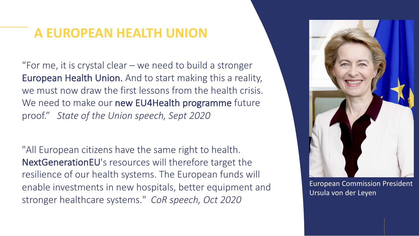### **A EUROPEAN HEALTH UNION**

"For me, it is crystal clear – we need to build a stronger European Health Union. And to start making this a reality, we must now draw the first lessons from the health crisis. We need to make our new EU4Health programme future proof." *State of the Union speech, Sept 2020*

"All European citizens have the same right to health. NextGenerationEU's resources will therefore target the resilience of our health systems. The European funds will enable investments in new hospitals, better equipment and stronger healthcare systems." *CoR speech, Oct 2020*



European Commission President Ursula von der Leyen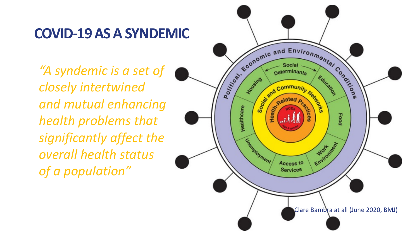### **COVID-19 AS A SYNDEMIC**

*"A syndemic is a set of closely intertwined and mutual enhancing health problems that significantly affect the overall health status of a population"* 

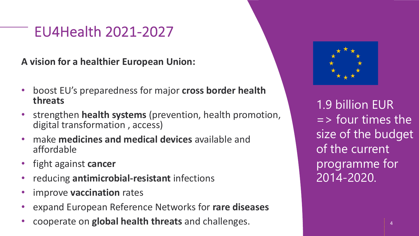## EU4Health 2021-2027

**A vision for a healthier European Union:**

- boost EU's preparedness for major **cross border health threats**
- strengthen **health systems** (prevention, health promotion, digital transformation , access)
- make **medicines and medical devices** available and affordable
- fight against **cancer**
- reducing **antimicrobial-resistant** infections
- improve **vaccination** rates
- expand European Reference Networks for **rare diseases**
- cooperate on **global health threats** and challenges.



1.9 billion EUR  $=$  > four times the size of the budget of the current programme for 2014-2020.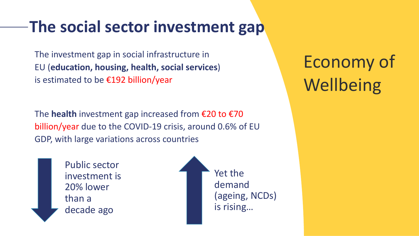## **The social sector investment gap**

The investment gap in social infrastructure in EU (**education, housing, health, social services**) is estimated to be €192 billion/year

The **health** investment gap increased from €20 to €70 billion/year due to the COVID-19 crisis, around 0.6% of EU GDP, with large variations across countries

> Public sector investment is 20% lower than a decade ago

Yet the demand (ageing, NCDs) is rising…

Economy of **Wellbeing**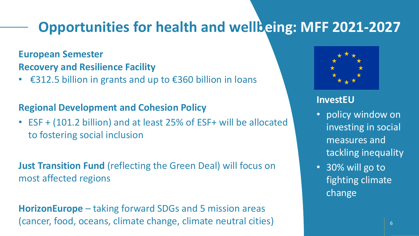## **Opportunities for health and wellbeing: MFF 2021-2027**

#### **European Semester Recovery and Resilience Facility**

• €312.5 billion in grants and up to €360 billion in loans

#### **Regional Development and Cohesion Policy**

• ESF + (101.2 billion) and at least 25% of ESF+ will be allocated to fostering social inclusion

**Just Transition Fund** (reflecting the Green Deal) will focus on most affected regions

**HorizonEurope** – taking forward SDGs and 5 mission areas (cancer, food, oceans, climate change, climate neutral cities)



#### **InvestEU**

- policy window on investing in social measures and tackling inequality
- 30% will go to fighting climate change